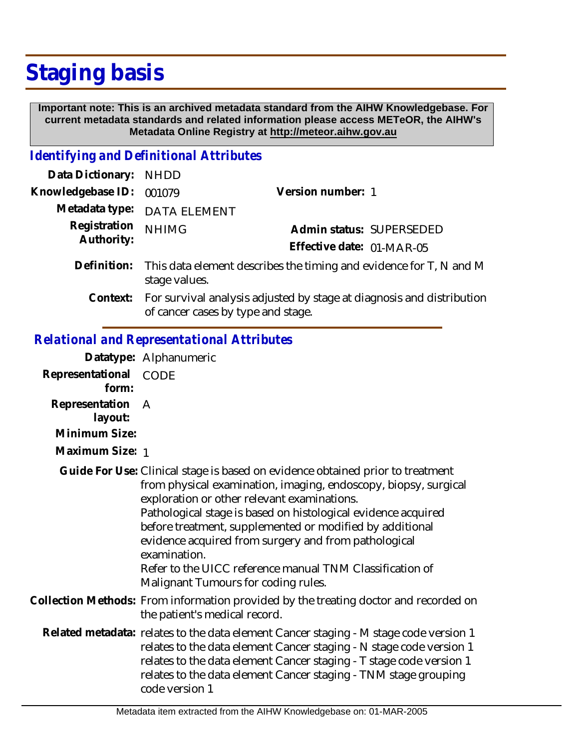## **Staging basis**

 **Important note: This is an archived metadata standard from the AIHW Knowledgebase. For current metadata standards and related information please access METeOR, the AIHW's Metadata Online Registry at http://meteor.aihw.gov.au**

## *Identifying and Definitional Attributes*

| Data Dictionary: NHDD      |                                                                                                 |                           |                          |
|----------------------------|-------------------------------------------------------------------------------------------------|---------------------------|--------------------------|
| Knowledgebase ID: 001079   |                                                                                                 | Version number: 1         |                          |
|                            | Metadata type: DATA ELEMENT                                                                     |                           |                          |
| Registration<br>Authority: | <b>NHIMG</b>                                                                                    | Effective date: 01-MAR-05 | Admin status: SUPERSEDED |
|                            | Definition: This data element describes the timing and evidence for T, N and M<br>stage values. |                           |                          |

For survival analysis adjusted by stage at diagnosis and distribution of cancer cases by type and stage. **Context:**

## *Relational and Representational Attributes*

**Datatype:** Alphanumeric

| Representational<br>form:   | CODE                                                                                                                                                                                                                                                                                                                                                                                                                                                                                                     |
|-----------------------------|----------------------------------------------------------------------------------------------------------------------------------------------------------------------------------------------------------------------------------------------------------------------------------------------------------------------------------------------------------------------------------------------------------------------------------------------------------------------------------------------------------|
| Representation A<br>layout: |                                                                                                                                                                                                                                                                                                                                                                                                                                                                                                          |
| Minimum Size:               |                                                                                                                                                                                                                                                                                                                                                                                                                                                                                                          |
| Maximum Size: 1             |                                                                                                                                                                                                                                                                                                                                                                                                                                                                                                          |
|                             | Guide For Use: Clinical stage is based on evidence obtained prior to treatment<br>from physical examination, imaging, endoscopy, biopsy, surgical<br>exploration or other relevant examinations.<br>Pathological stage is based on histological evidence acquired<br>before treatment, supplemented or modified by additional<br>evidence acquired from surgery and from pathological<br>examination.<br>Refer to the UICC reference manual TNM Classification of<br>Malignant Tumours for coding rules. |
|                             | Collection Methods: From information provided by the treating doctor and recorded on<br>the patient's medical record.                                                                                                                                                                                                                                                                                                                                                                                    |
|                             | Related metadata: relates to the data element Cancer staging - M stage code version 1<br>relates to the data element Cancer staging - N stage code version 1<br>relates to the data element Cancer staging - T stage code version 1<br>relates to the data element Cancer staging - TNM stage grouping<br>code version 1                                                                                                                                                                                 |